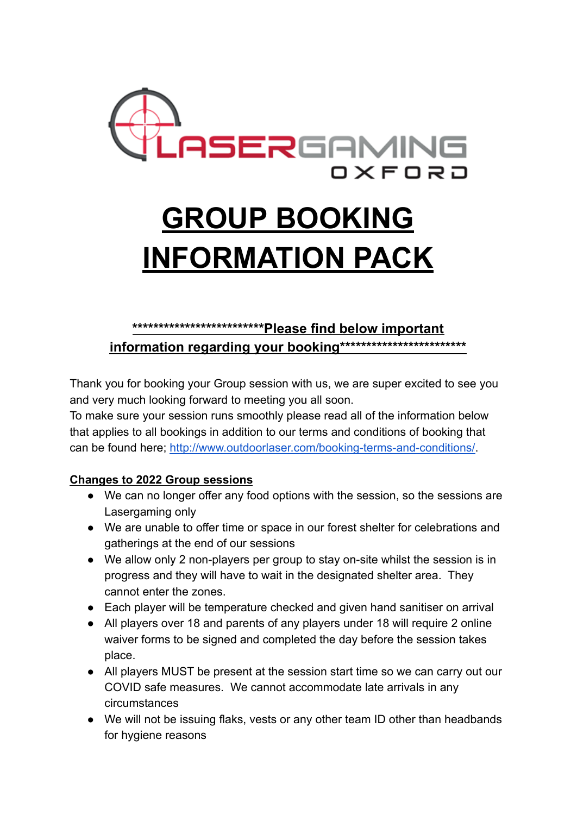

# **GROUP BOOKING INFORMATION PACK**

## **\*\*\*\*\*\*\*\*\*\*\*\*\*\*\*\*\*\*\*\*\*\*\*\*\*Please find below important information regarding your booking\*\*\*\*\*\*\*\*\*\*\*\*\*\*\*\*\*\*\*\*\*\*\*\***

Thank you for booking your Group session with us, we are super excited to see you and very much looking forward to meeting you all soon.

To make sure your session runs smoothly please read all of the information below that applies to all bookings in addition to our terms and conditions of booking that can be found here; [http://www.outdoorlaser.com/booking-terms-and-conditions/.](http://www.outdoorlaser.com/booking-terms-and-conditions/)

#### **Changes to 2022 Group sessions**

- We can no longer offer any food options with the session, so the sessions are Lasergaming only
- We are unable to offer time or space in our forest shelter for celebrations and gatherings at the end of our sessions
- We allow only 2 non-players per group to stay on-site whilst the session is in progress and they will have to wait in the designated shelter area. They cannot enter the zones.
- Each player will be temperature checked and given hand sanitiser on arrival
- All players over 18 and parents of any players under 18 will require 2 online waiver forms to be signed and completed the day before the session takes place.
- All players MUST be present at the session start time so we can carry out our COVID safe measures. We cannot accommodate late arrivals in any circumstances
- We will not be issuing flaks, vests or any other team ID other than headbands for hygiene reasons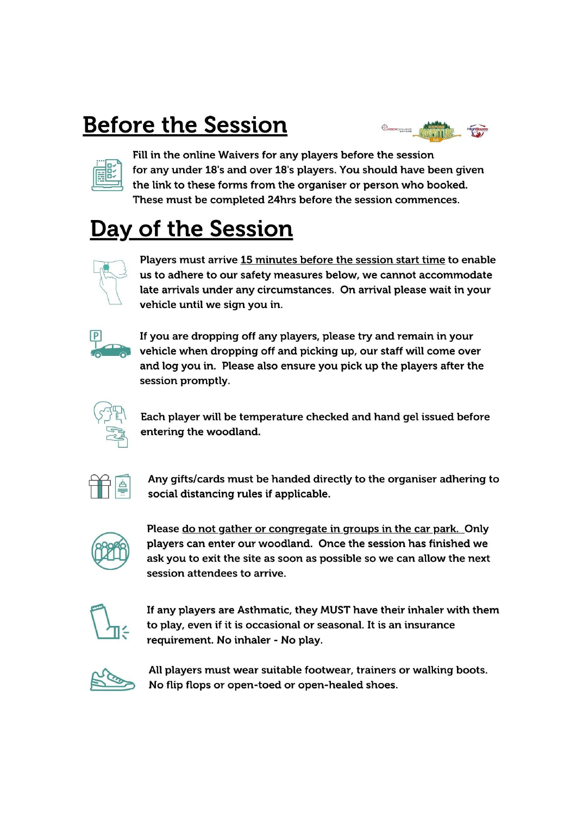# **Before the Session**



Fill in the online Waivers for any players before the session for any under 18's and over 18's players. You should have been given the link to these forms from the organiser or person who booked. These must be completed 24hrs before the session commences.

# Day of the Session



Players must arrive 15 minutes before the session start time to enable us to adhere to our safety measures below, we cannot accommodate late arrivals under any circumstances. On arrival please wait in your vehicle until we sign you in.



If you are dropping off any players, please try and remain in your vehicle when dropping off and picking up, our staff will come over and log you in. Please also ensure you pick up the players after the session promptly.



Each player will be temperature checked and hand gel issued before entering the woodland.



Any gifts/cards must be handed directly to the organiser adhering to social distancing rules if applicable.



Please do not gather or congregate in groups in the car park. Only players can enter our woodland. Once the session has finished we ask you to exit the site as soon as possible so we can allow the next session attendees to arrive.



If any players are Asthmatic, they MUST have their inhaler with them to play, even if it is occasional or seasonal. It is an insurance requirement. No inhaler - No play.



All players must wear suitable footwear, trainers or walking boots. No flip flops or open-toed or open-healed shoes.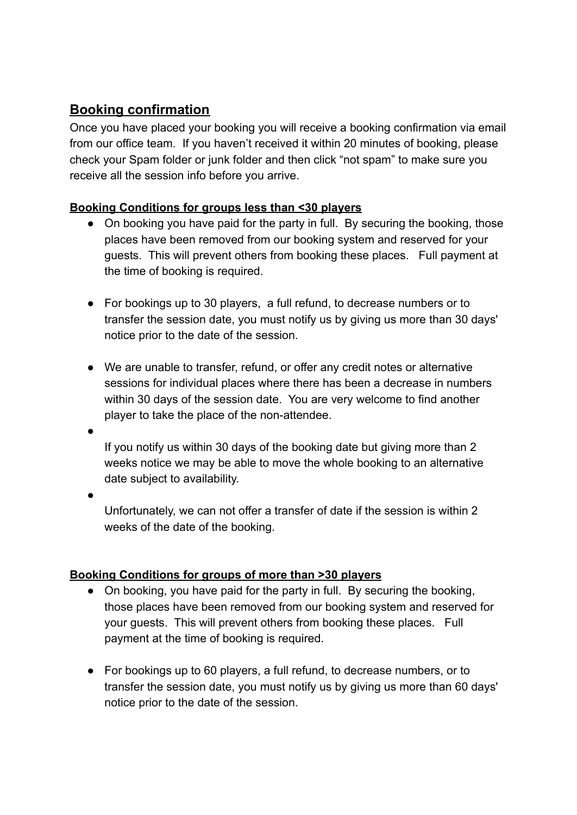#### **Booking confirmation**

Once you have placed your booking you will receive a booking confirmation via email from our office team. If you haven't received it within 20 minutes of booking, please check your Spam folder or junk folder and then click "not spam" to make sure you receive all the session info before you arrive.

#### **Booking Conditions for groups less than <30 players**

- On booking you have paid for the party in full. By securing the booking, those places have been removed from our booking system and reserved for your guests. This will prevent others from booking these places. Full payment at the time of booking is required.
- For bookings up to 30 players, a full refund, to decrease numbers or to transfer the session date, you must notify us by giving us more than 30 days' notice prior to the date of the session.
- We are unable to transfer, refund, or offer any credit notes or alternative sessions for individual places where there has been a decrease in numbers within 30 days of the session date. You are very welcome to find another player to take the place of the non-attendee.
- ●

If you notify us within 30 days of the booking date but giving more than 2 weeks notice we may be able to move the whole booking to an alternative date subject to availability.

●

Unfortunately, we can not offer a transfer of date if the session is within 2 weeks of the date of the booking.

#### **Booking Conditions for groups of more than >30 players**

- On booking, you have paid for the party in full. By securing the booking, those places have been removed from our booking system and reserved for your guests. This will prevent others from booking these places. Full payment at the time of booking is required.
- For bookings up to 60 players, a full refund, to decrease numbers, or to transfer the session date, you must notify us by giving us more than 60 days' notice prior to the date of the session.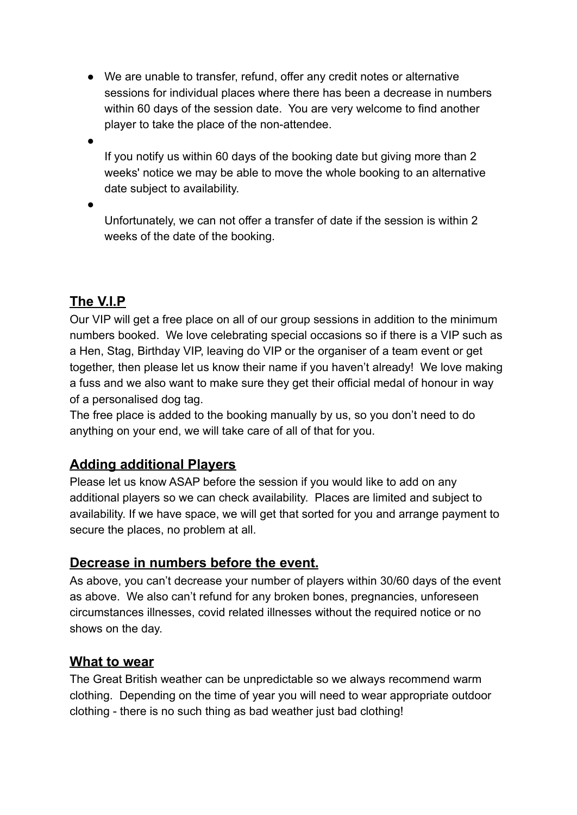- We are unable to transfer, refund, offer any credit notes or alternative sessions for individual places where there has been a decrease in numbers within 60 days of the session date. You are very welcome to find another player to take the place of the non-attendee.
- $\bullet$

If you notify us within 60 days of the booking date but giving more than 2 weeks' notice we may be able to move the whole booking to an alternative date subject to availability.

 $\bullet$ 

Unfortunately, we can not offer a transfer of date if the session is within 2 weeks of the date of the booking.

# **The V.I.P**

Our VIP will get a free place on all of our group sessions in addition to the minimum numbers booked. We love celebrating special occasions so if there is a VIP such as a Hen, Stag, Birthday VIP, leaving do VIP or the organiser of a team event or get together, then please let us know their name if you haven't already! We love making a fuss and we also want to make sure they get their official medal of honour in way of a personalised dog tag.

The free place is added to the booking manually by us, so you don't need to do anything on your end, we will take care of all of that for you.

### **Adding additional Players**

Please let us know ASAP before the session if you would like to add on any additional players so we can check availability. Places are limited and subject to availability. If we have space, we will get that sorted for you and arrange payment to secure the places, no problem at all.

### **Decrease in numbers before the event.**

As above, you can't decrease your number of players within 30/60 days of the event as above. We also can't refund for any broken bones, pregnancies, unforeseen circumstances illnesses, covid related illnesses without the required notice or no shows on the day.

#### **What to wear**

The Great British weather can be unpredictable so we always recommend warm clothing. Depending on the time of year you will need to wear appropriate outdoor clothing - there is no such thing as bad weather just bad clothing!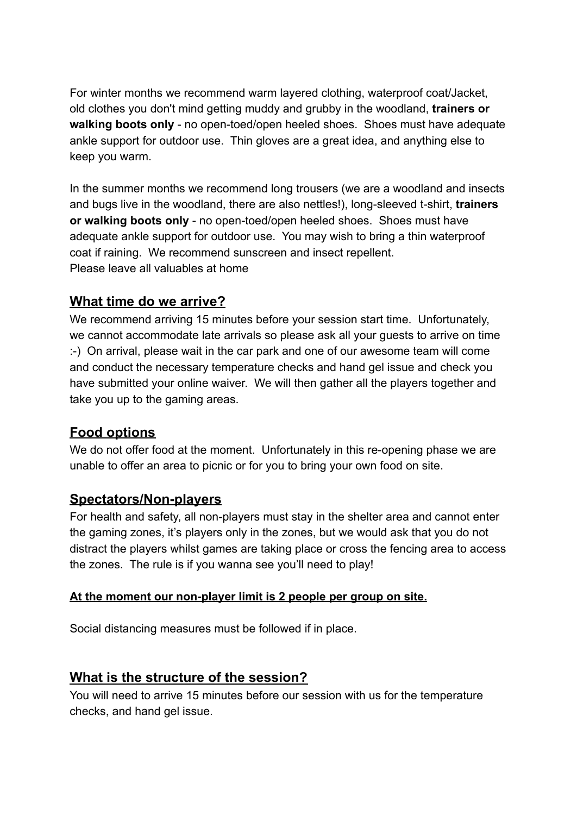For winter months we recommend warm layered clothing, waterproof coat/Jacket, old clothes you don't mind getting muddy and grubby in the woodland, **trainers or walking boots only** - no open-toed/open heeled shoes. Shoes must have adequate ankle support for outdoor use. Thin gloves are a great idea, and anything else to keep you warm.

In the summer months we recommend long trousers (we are a woodland and insects and bugs live in the woodland, there are also nettles!), long-sleeved t-shirt, **trainers or walking boots only** - no open-toed/open heeled shoes. Shoes must have adequate ankle support for outdoor use. You may wish to bring a thin waterproof coat if raining. We recommend sunscreen and insect repellent. Please leave all valuables at home

#### **What time do we arrive?**

We recommend arriving 15 minutes before your session start time. Unfortunately, we cannot accommodate late arrivals so please ask all your guests to arrive on time :-) On arrival, please wait in the car park and one of our awesome team will come and conduct the necessary temperature checks and hand gel issue and check you have submitted your online waiver. We will then gather all the players together and take you up to the gaming areas.

#### **Food options**

We do not offer food at the moment. Unfortunately in this re-opening phase we are unable to offer an area to picnic or for you to bring your own food on site.

#### **Spectators/Non-players**

For health and safety, all non-players must stay in the shelter area and cannot enter the gaming zones, it's players only in the zones, but we would ask that you do not distract the players whilst games are taking place or cross the fencing area to access the zones. The rule is if you wanna see you'll need to play!

#### **At the moment our non-player limit is 2 people per group on site.**

Social distancing measures must be followed if in place.

#### **What is the structure of the session?**

You will need to arrive 15 minutes before our session with us for the temperature checks, and hand gel issue.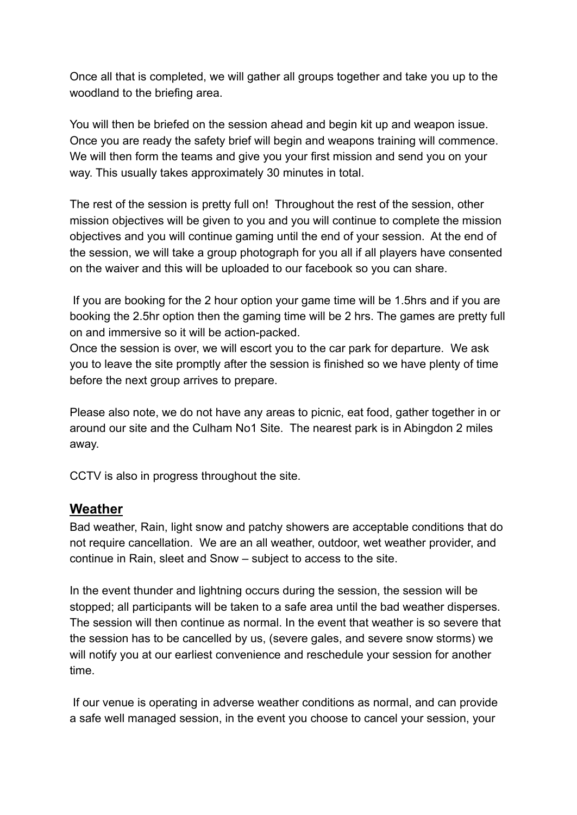Once all that is completed, we will gather all groups together and take you up to the woodland to the briefing area.

You will then be briefed on the session ahead and begin kit up and weapon issue. Once you are ready the safety brief will begin and weapons training will commence. We will then form the teams and give you your first mission and send you on your way. This usually takes approximately 30 minutes in total.

The rest of the session is pretty full on! Throughout the rest of the session, other mission objectives will be given to you and you will continue to complete the mission objectives and you will continue gaming until the end of your session. At the end of the session, we will take a group photograph for you all if all players have consented on the waiver and this will be uploaded to our facebook so you can share.

If you are booking for the 2 hour option your game time will be 1.5hrs and if you are booking the 2.5hr option then the gaming time will be 2 hrs. The games are pretty full on and immersive so it will be action-packed.

Once the session is over, we will escort you to the car park for departure. We ask you to leave the site promptly after the session is finished so we have plenty of time before the next group arrives to prepare.

Please also note, we do not have any areas to picnic, eat food, gather together in or around our site and the Culham No1 Site. The nearest park is in Abingdon 2 miles away.

CCTV is also in progress throughout the site.

#### **Weather**

Bad weather, Rain, light snow and patchy showers are acceptable conditions that do not require cancellation. We are an all weather, outdoor, wet weather provider, and continue in Rain, sleet and Snow – subject to access to the site.

In the event thunder and lightning occurs during the session, the session will be stopped; all participants will be taken to a safe area until the bad weather disperses. The session will then continue as normal. In the event that weather is so severe that the session has to be cancelled by us, (severe gales, and severe snow storms) we will notify you at our earliest convenience and reschedule your session for another time.

If our venue is operating in adverse weather conditions as normal, and can provide a safe well managed session, in the event you choose to cancel your session, your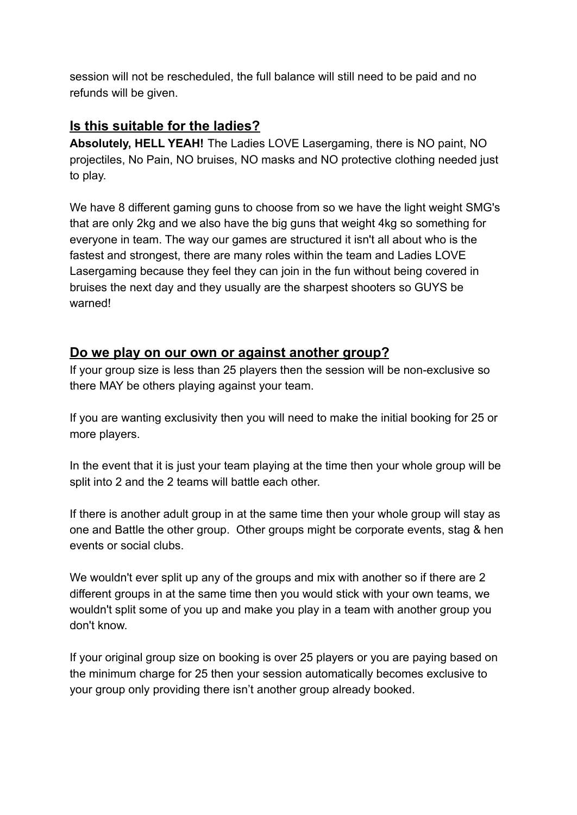session will not be rescheduled, the full balance will still need to be paid and no refunds will be given.

#### **Is this suitable for the ladies?**

**Absolutely, HELL YEAH!** The Ladies LOVE Lasergaming, there is NO paint, NO projectiles, No Pain, NO bruises, NO masks and NO protective clothing needed just to play.

We have 8 different gaming guns to choose from so we have the light weight SMG's that are only 2kg and we also have the big guns that weight 4kg so something for everyone in team. The way our games are structured it isn't all about who is the fastest and strongest, there are many roles within the team and Ladies LOVE Lasergaming because they feel they can join in the fun without being covered in bruises the next day and they usually are the sharpest shooters so GUYS be warned!

#### **Do we play on our own or against another group?**

If your group size is less than 25 players then the session will be non-exclusive so there MAY be others playing against your team.

If you are wanting exclusivity then you will need to make the initial booking for 25 or more players.

In the event that it is just your team playing at the time then your whole group will be split into 2 and the 2 teams will battle each other.

If there is another adult group in at the same time then your whole group will stay as one and Battle the other group. Other groups might be corporate events, stag & hen events or social clubs.

We wouldn't ever split up any of the groups and mix with another so if there are 2 different groups in at the same time then you would stick with your own teams, we wouldn't split some of you up and make you play in a team with another group you don't know.

If your original group size on booking is over 25 players or you are paying based on the minimum charge for 25 then your session automatically becomes exclusive to your group only providing there isn't another group already booked.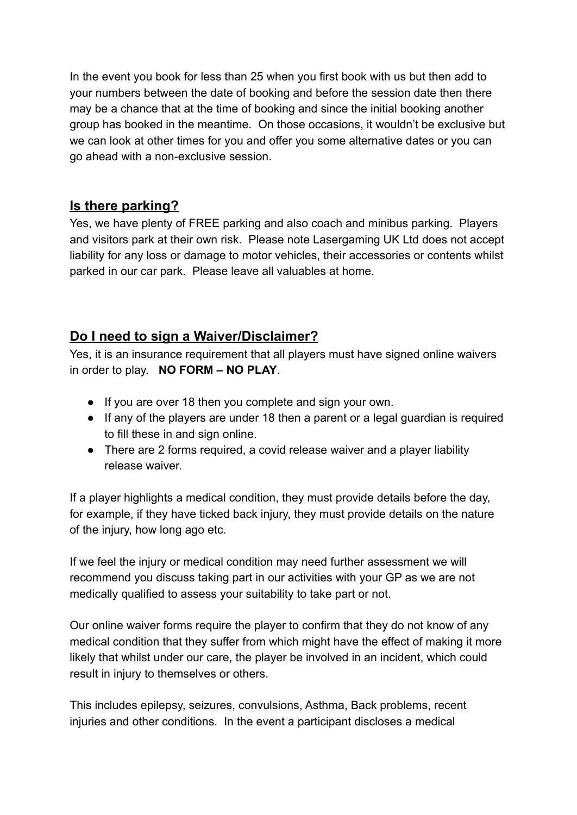In the event you book for less than 25 when you first book with us but then add to your numbers between the date of booking and before the session date then there may be a chance that at the time of booking and since the initial booking another group has booked in the meantime. On those occasions, it wouldn't be exclusive but we can look at other times for you and offer you some alternative dates or you can go ahead with a non-exclusive session.

#### **Is there parking?**

Yes, we have plenty of FREE parking and also coach and minibus parking. Players and visitors park at their own risk. Please note Lasergaming UK Ltd does not accept liability for any loss or damage to motor vehicles, their accessories or contents whilst parked in our car park. Please leave all valuables at home.

#### **Do I need to sign a Waiver/Disclaimer?**

Yes, it is an insurance requirement that all players must have signed online waivers in order to play. **NO FORM – NO PLAY**.

- If you are over 18 then you complete and sign your own.
- If any of the players are under 18 then a parent or a legal guardian is required to fill these in and sign online.
- There are 2 forms required, a covid release waiver and a player liability release waiver.

If a player highlights a medical condition, they must provide details before the day, for example, if they have ticked back injury, they must provide details on the nature of the injury, how long ago etc.

If we feel the injury or medical condition may need further assessment we will recommend you discuss taking part in our activities with your GP as we are not medically qualified to assess your suitability to take part or not.

Our online waiver forms require the player to confirm that they do not know of any medical condition that they suffer from which might have the effect of making it more likely that whilst under our care, the player be involved in an incident, which could result in injury to themselves or others.

This includes epilepsy, seizures, convulsions, Asthma, Back problems, recent injuries and other conditions. In the event a participant discloses a medical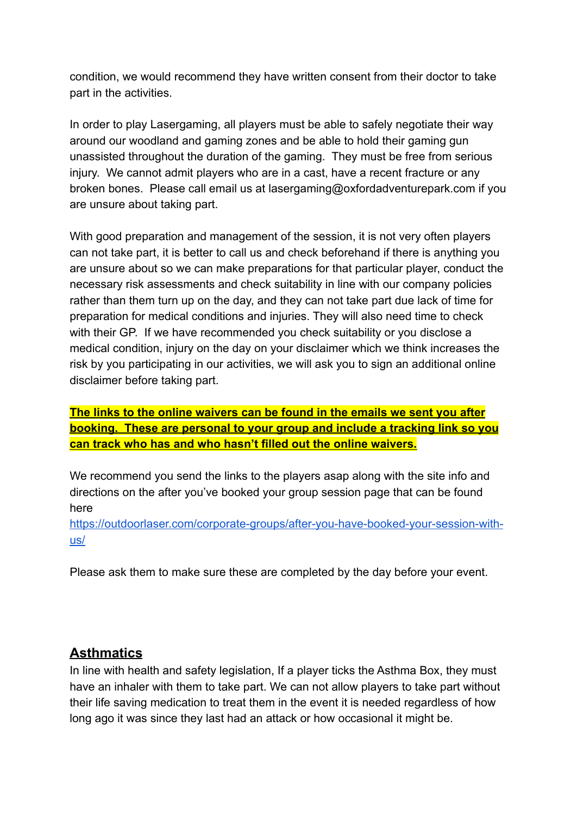condition, we would recommend they have written consent from their doctor to take part in the activities.

In order to play Lasergaming, all players must be able to safely negotiate their way around our woodland and gaming zones and be able to hold their gaming gun unassisted throughout the duration of the gaming. They must be free from serious injury. We cannot admit players who are in a cast, have a recent fracture or any broken bones. Please call email us at lasergaming@oxfordadventurepark.com if you are unsure about taking part.

With good preparation and management of the session, it is not very often players can not take part, it is better to call us and check beforehand if there is anything you are unsure about so we can make preparations for that particular player, conduct the necessary risk assessments and check suitability in line with our company policies rather than them turn up on the day, and they can not take part due lack of time for preparation for medical conditions and injuries. They will also need time to check with their GP. If we have recommended you check suitability or you disclose a medical condition, injury on the day on your disclaimer which we think increases the risk by you participating in our activities, we will ask you to sign an additional online disclaimer before taking part.

**The links to the online waivers can be found in the emails we sent you after booking. These are personal to your group and include a tracking link so you can track who has and who hasn't filled out the online waivers.**

We recommend you send the links to the players asap along with the site info and directions on the after you've booked your group session page that can be found here

[https://outdoorlaser.com/corporate-groups/after-you-have-booked-your-session-with](https://outdoorlaser.com/corporate-groups/after-you-have-booked-your-session-with-us/)[us/](https://outdoorlaser.com/corporate-groups/after-you-have-booked-your-session-with-us/)

Please ask them to make sure these are completed by the day before your event.

#### **Asthmatics**

In line with health and safety legislation, If a player ticks the Asthma Box, they must have an inhaler with them to take part. We can not allow players to take part without their life saving medication to treat them in the event it is needed regardless of how long ago it was since they last had an attack or how occasional it might be.